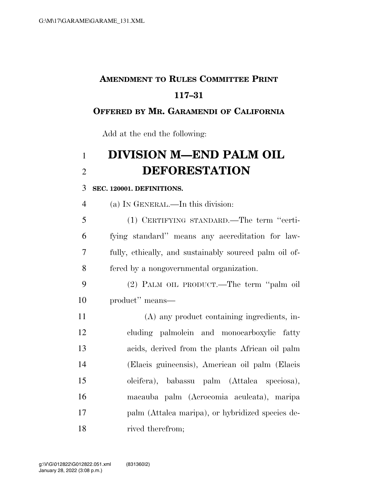# **AMENDMENT TO RULES COMMITTEE PRINT 117–31**

#### **OFFERED BY MR. GARAMENDI OF CALIFORNIA**

Add at the end the following:

# **DIVISION M—END PALM OIL DEFORESTATION**

#### **SEC. 120001. DEFINITIONS.**

(a) IN GENERAL.—In this division:

 (1) CERTIFYING STANDARD.—The term ''certi- fying standard'' means any accreditation for law- fully, ethically, and sustainably sourced palm oil of-fered by a nongovernmental organization.

 (2) PALM OIL PRODUCT.—The term ''palm oil product'' means—

 (A) any product containing ingredients, in- cluding palmolein and monocarboxylic fatty acids, derived from the plants African oil palm (Elaeis guineensis), American oil palm (Elaeis oleifera), babassu palm (Attalea speciosa), macauba palm (Acrocomia aculeata), maripa palm (Attalea maripa), or hybridized species de-rived therefrom;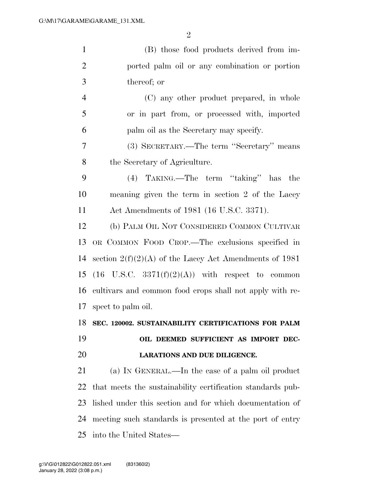| $\mathbf{1}$   | (B) those food products derived from im-                    |
|----------------|-------------------------------------------------------------|
| $\overline{2}$ | ported palm oil or any combination or portion               |
| 3              | thereof; or                                                 |
| $\overline{4}$ | (C) any other product prepared, in whole                    |
| 5              | or in part from, or processed with, imported                |
| 6              | palm oil as the Secretary may specify.                      |
| 7              | (3) SECRETARY.—The term "Secretary" means                   |
| 8              | the Secretary of Agriculture.                               |
| 9              | (4) TAKING.—The term "taking" has the                       |
| 10             | meaning given the term in section 2 of the Lacey            |
| 11             | Act Amendments of 1981 (16 U.S.C. 3371).                    |
| 12             | (b) PALM OIL NOT CONSIDERED COMMON CULTIVAR                 |
| 13             | OR COMMON FOOD CROP.—The exclusions specified in            |
| 14             | section $2(f)(2)(A)$ of the Lacey Act Amendments of 1981    |
| 15             | $(16 \text{ U.S.C. } 3371(f)(2)(A))$ with respect to common |
| 16             | cultivars and common food crops shall not apply with re-    |
| 17             | spect to palm oil.                                          |
|                | 18 SEC. 120002. SUSTAINABILITY CERTIFICATIONS FOR PALM      |
| 19             | OIL DEEMED SUFFICIENT AS IMPORT DEC-                        |
| 20             | LARATIONS AND DUE DILIGENCE.                                |
| 21             | (a) IN GENERAL.—In the case of a palm oil product           |
| 22             | that meets the sustainability certification standards pub-  |
| 23             | lished under this section and for which documentation of    |
| 24             | meeting such standards is presented at the port of entry    |
| 25             | into the United States—                                     |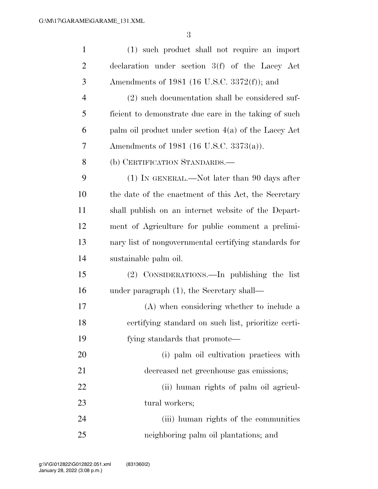| $\mathbf{1}$   | (1) such product shall not require an import           |
|----------------|--------------------------------------------------------|
| $\overline{2}$ | declaration under section $3(f)$ of the Lacey Act      |
| 3              | Amendments of 1981 (16 U.S.C. 3372(f)); and            |
| $\overline{4}$ | (2) such documentation shall be considered suf-        |
| 5              | ficient to demonstrate due care in the taking of such  |
| 6              | palm oil product under section $4(a)$ of the Lacey Act |
| 7              | Amendments of 1981 (16 U.S.C. 3373(a)).                |
| 8              | (b) CERTIFICATION STANDARDS.—                          |
| 9              | $(1)$ In GENERAL.—Not later than 90 days after         |
| 10             | the date of the enactment of this Act, the Secretary   |
| 11             | shall publish on an internet website of the Depart-    |
| 12             | ment of Agriculture for public comment a prelimi-      |
| 13             | nary list of nongovernmental certifying standards for  |
| 14             | sustainable palm oil.                                  |
| 15             | (2) CONSIDERATIONS.—In publishing the list             |
| 16             | under paragraph $(1)$ , the Secretary shall—           |
| 17             | (A) when considering whether to include a              |
| 18             | certifying standard on such list, prioritize certi-    |
| 19             | fying standards that promote—                          |
| 20             | (i) palm oil cultivation practices with                |
| 21             | decreased net greenhouse gas emissions;                |
| 22             | (ii) human rights of palm oil agricul-                 |
| 23             | tural workers;                                         |
| 24             | (iii) human rights of the communities                  |
| 25             | neighboring palm oil plantations; and                  |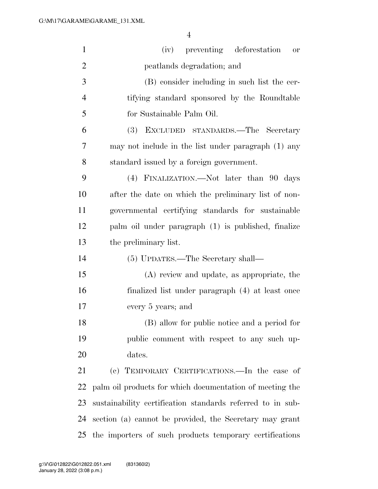| $\mathbf{1}$   | (iv) preventing deforestation<br><b>or</b>                 |
|----------------|------------------------------------------------------------|
| $\overline{2}$ | peatlands degradation; and                                 |
| 3              | (B) consider including in such list the cer-               |
| $\overline{4}$ | tifying standard sponsored by the Roundtable               |
| 5              | for Sustainable Palm Oil.                                  |
| 6              | (3)<br>EXCLUDED STANDARDS.—The Secretary                   |
| 7              | may not include in the list under paragraph (1) any        |
| 8              | standard issued by a foreign government.                   |
| 9              | (4) FINALIZATION.—Not later than 90 days                   |
| 10             | after the date on which the preliminary list of non-       |
| 11             | governmental certifying standards for sustainable          |
| 12             | palm oil under paragraph (1) is published, finalize        |
| 13             | the preliminary list.                                      |
| 14             | (5) UPDATES.—The Secretary shall—                          |
| 15             | (A) review and update, as appropriate, the                 |
| 16             | finalized list under paragraph (4) at least once           |
| 17             | every 5 years; and                                         |
| 18             | (B) allow for public notice and a period for               |
| 19             | public comment with respect to any such up-                |
| 20             | dates.                                                     |
| 21             | (c) TEMPORARY CERTIFICATIONS.—In the case of               |
| 22             | palm oil products for which documentation of meeting the   |
| 23             | sustainability certification standards referred to in sub- |
| 24             | section (a) cannot be provided, the Secretary may grant    |
| 25             | the importers of such products temporary certifications    |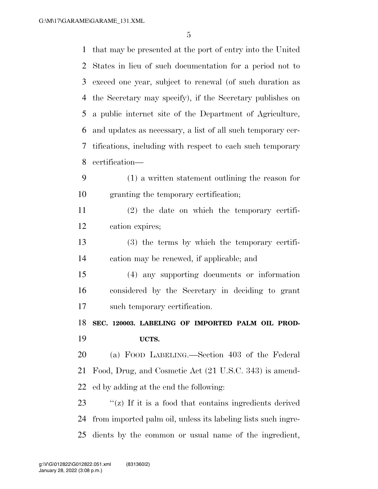that may be presented at the port of entry into the United States in lieu of such documentation for a period not to exceed one year, subject to renewal (of such duration as the Secretary may specify), if the Secretary publishes on a public internet site of the Department of Agriculture, and updates as necessary, a list of all such temporary cer- tifications, including with respect to each such temporary certification— (1) a written statement outlining the reason for granting the temporary certification; (2) the date on which the temporary certifi- cation expires; (3) the terms by which the temporary certifi- cation may be renewed, if applicable; and (4) any supporting documents or information considered by the Secretary in deciding to grant such temporary certification.

 **SEC. 120003. LABELING OF IMPORTED PALM OIL PROD-UCTS.** 

 (a) FOOD LABELING.—Section 403 of the Federal Food, Drug, and Cosmetic Act (21 U.S.C. 343) is amend-ed by adding at the end the following:

 ''(z) If it is a food that contains ingredients derived from imported palm oil, unless its labeling lists such ingre-dients by the common or usual name of the ingredient,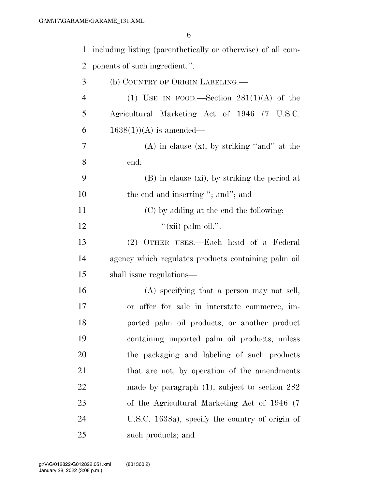| $\mathbf{1}$   | including listing (parenthetically or otherwise) of all com- |
|----------------|--------------------------------------------------------------|
| $\overline{2}$ | ponents of such ingredient.".                                |
| 3              | (b) COUNTRY OF ORIGIN LABELING.—                             |
| $\overline{4}$ | (1) USE IN FOOD.—Section $281(1)(A)$ of the                  |
| 5              | Agricultural Marketing Act of 1946 (7 U.S.C.                 |
| 6              | $1638(1)$ (A) is amended—                                    |
| 7              | $(A)$ in clause $(x)$ , by striking "and" at the             |
| 8              | end;                                                         |
| 9              | $(B)$ in clause $(xi)$ , by striking the period at           |
| 10             | the end and inserting "; and"; and                           |
| 11             | (C) by adding at the end the following:                      |
| 12             | "(xii) palm oil.".                                           |
| 13             | (2) OTHER USES.—Each head of a Federal                       |
| 14             | agency which regulates products containing palm oil          |
| 15             | shall issue regulations—                                     |
| 16             | (A) specifying that a person may not sell,                   |
| 17             | or offer for sale in interstate commerce, im-                |
| 18             | ported palm oil products, or another product                 |
| 19             | containing imported palm oil products, unless                |
| 20             | the packaging and labeling of such products                  |
| 21             | that are not, by operation of the amendments                 |
| 22             | made by paragraph $(1)$ , subject to section 282             |
| 23             | of the Agricultural Marketing Act of 1946 (7)                |
| 24             | U.S.C. 1638a), specify the country of origin of              |
| 25             | such products; and                                           |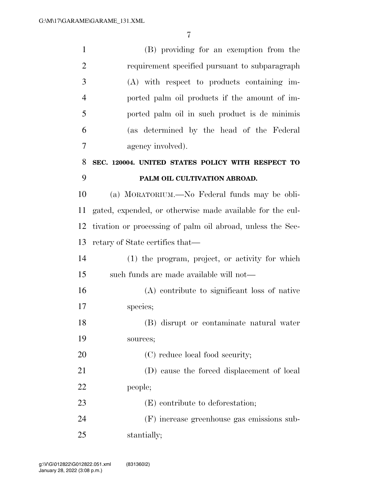| $\mathbf{1}$   | (B) providing for an exemption from the                    |
|----------------|------------------------------------------------------------|
| $\overline{2}$ | requirement specified pursuant to subparagraph             |
| 3              | (A) with respect to products containing im-                |
| $\overline{4}$ | ported palm oil products if the amount of im-              |
| 5              | ported palm oil in such product is de minimis              |
| 6              | (as determined by the head of the Federal                  |
| 7              | agency involved).                                          |
| 8              | SEC. 120004. UNITED STATES POLICY WITH RESPECT TO          |
| 9              | PALM OIL CULTIVATION ABROAD.                               |
| 10             | (a) MORATORIUM.—No Federal funds may be obli-              |
| 11             | gated, expended, or otherwise made available for the cul-  |
| 12             | tivation or processing of palm oil abroad, unless the Sec- |
| 13             | retary of State certifies that—                            |
| 14             | (1) the program, project, or activity for which            |
| 15             | such funds are made available will not—                    |
| 16             | (A) contribute to significant loss of native               |
| 17             | species;                                                   |
| 18             | (B) disrupt or contaminate natural water                   |
| 19             | sources;                                                   |
| <b>20</b>      | (C) reduce local food security;                            |
| 21             | (D) cause the forced displacement of local                 |
| 22             | people;                                                    |
| 23             | (E) contribute to deforestation;                           |
| 24             | (F) increase greenhouse gas emissions sub-                 |
|                |                                                            |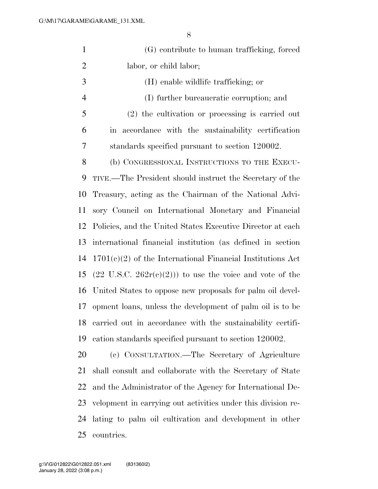| $\mathbf{1}$   | (G) contribute to human trafficking, forced                        |
|----------------|--------------------------------------------------------------------|
| $\overline{2}$ | labor, or child labor;                                             |
| 3              | (H) enable wildlife trafficking; or                                |
| $\overline{4}$ | (I) further bureaucratic corruption; and                           |
| 5              | $(2)$ the cultivation or processing is carried out                 |
| 6              | in accordance with the sustainability certification                |
| 7              | standards specified pursuant to section 120002.                    |
| 8              | (b) CONGRESSIONAL INSTRUCTIONS TO THE EXECU-                       |
| 9              | TIVE.—The President should instruct the Secretary of the           |
| 10             | Treasury, acting as the Chairman of the National Advi-             |
| 11             | sory Council on International Monetary and Financial               |
| 12             | Policies, and the United States Executive Director at each         |
| 13             | international financial institution (as defined in section         |
| 14             | $1701(c)(2)$ of the International Financial Institutions Act       |
| 15             | $(22 \text{ U.S.C. } 262r(c)(2))$ to use the voice and vote of the |
| 16             | United States to oppose new proposals for palm oil devel-          |
| 17             | opment loans, unless the development of palm oil is to be          |
| 18             | carried out in accordance with the sustainability certifi-         |
| 19             | cation standards specified pursuant to section 120002.             |
| 20             | (c) CONSULTATION.—The Secretary of Agriculture                     |
| 21             | shall consult and collaborate with the Secretary of State          |
| 22             | and the Administrator of the Agency for International De-          |
| 23             | velopment in carrying out activities under this division re-       |

 lating to palm oil cultivation and development in other countries.